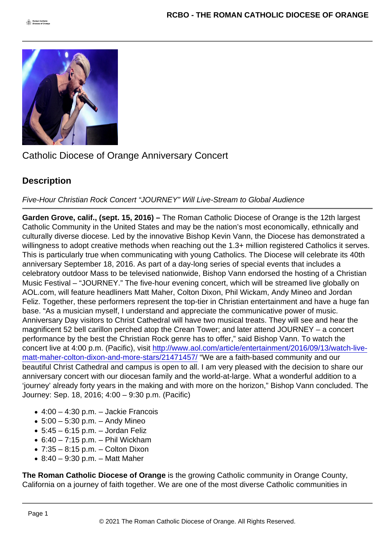## Catholic Diocese of Orange Anniversary Concert

## **Description**

Five-Hour Christian Rock Concert "JOURNEY" Will Live-Stream to Global Audience

Garden Grove, calif., (sept. 15, 2016) – The Roman Catholic Diocese of Orange is the 12th largest Catholic Community in the United States and may be the nation's most economically, ethnically and culturally diverse diocese. Led by the innovative Bishop Kevin Vann, the Diocese has demonstrated a willingness to adopt creative methods when reaching out the 1.3+ million registered Catholics it serves. This is particularly true when communicating with young Catholics. The Diocese will celebrate its 40th anniversary September 18, 2016. As part of a day-long series of special events that includes a celebratory outdoor Mass to be televised nationwide, Bishop Vann endorsed the hosting of a Christian Music Festival – "JOURNEY." The five-hour evening concert, which will be streamed live globally on AOL.com, will feature headliners Matt Maher, Colton Dixon, Phil Wickam, Andy Mineo and Jordan Feliz. Together, these performers represent the top-tier in Christian entertainment and have a huge fan base. "As a musician myself, I understand and appreciate the communicative power of music. Anniversary Day visitors to Christ Cathedral will have two musical treats. They will see and hear the magnificent 52 bell carillon perched atop the Crean Tower; and later attend JOURNEY – a concert performance by the best the Christian Rock genre has to offer," said Bishop Vann. To watch the concert live at 4:00 p.m. (Pacific), visit [http://www.aol.com/article/entertainment/2016/09/13/watch-live](http://www.aol.com/article/entertainment/2016/09/13/watch-live-matt-maher-colton-dixon-and-more-stars/21471457/)[matt-maher-colton-dixon-and-more-stars/21471457/](http://www.aol.com/article/entertainment/2016/09/13/watch-live-matt-maher-colton-dixon-and-more-stars/21471457/) "We are a faith-based community and our beautiful Christ Cathedral and campus is open to all. I am very pleased with the decision to share our anniversary concert with our diocesan family and the world-at-large. What a wonderful addition to a 'journey' already forty years in the making and with more on the horizon," Bishop Vann concluded. The Journey: Sep. 18, 2016; 4:00 – 9:30 p.m. (Pacific)

- $\bullet$  4:00 4:30 p.m. Jackie Francois
- $\bullet$  5:00 5:30 p.m. Andy Mineo
- $\bullet$  5:45 6:15 p.m. Jordan Feliz
- $\bullet$  6:40 7:15 p.m. Phil Wickham
- $\bullet$  7:35 8:15 p.m. Colton Dixon
- $\bullet$  8:40 9:30 p.m. Matt Maher

The Roman Catholic Diocese of Orange is the growing Catholic community in Orange County, California on a journey of faith together. We are one of the most diverse Catholic communities in